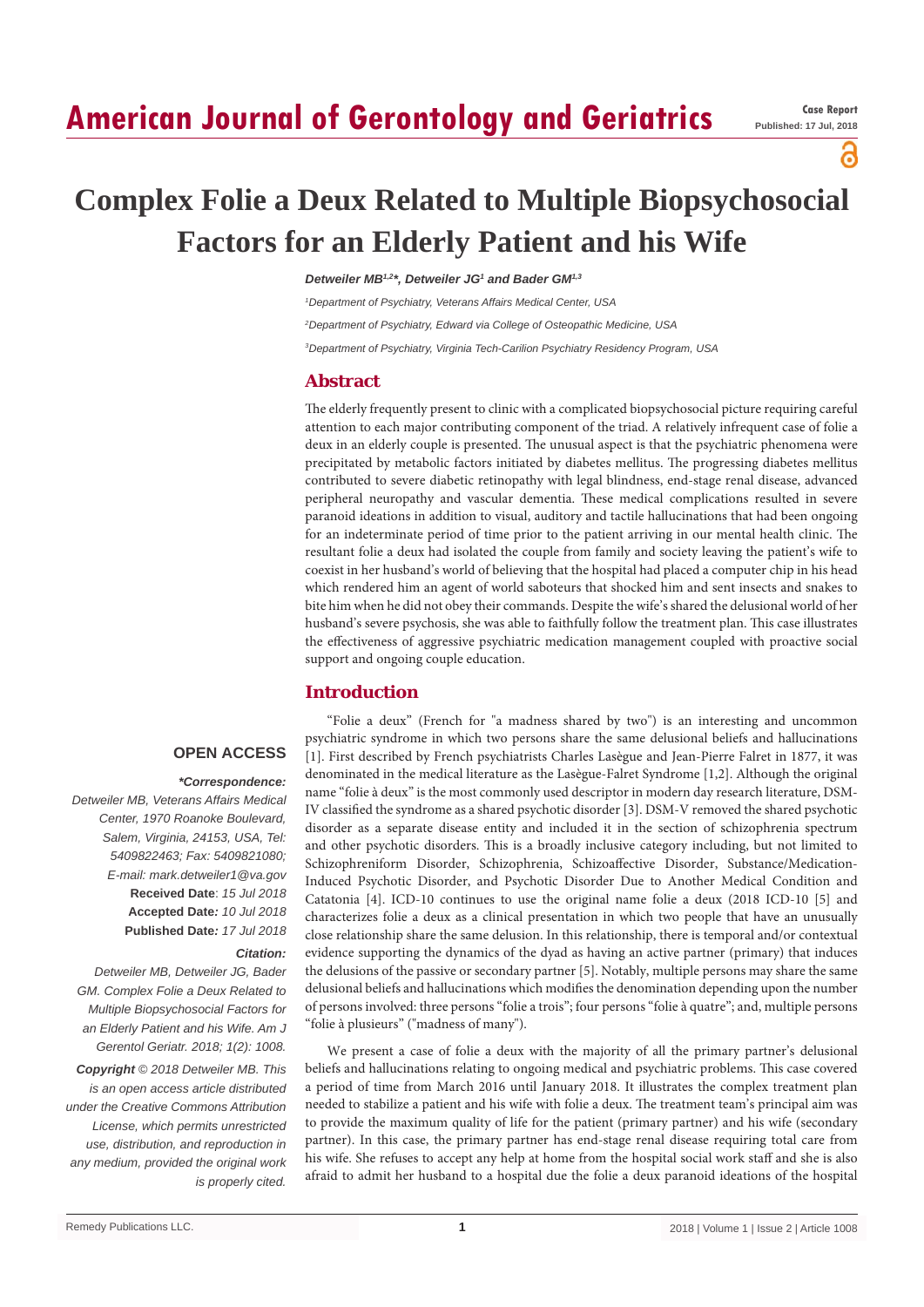# **American Journal of Gerontology and Geriatrics**

# പ്പ

# **Complex Folie a Deux Related to Multiple Biopsychosocial Factors for an Elderly Patient and his Wife**

*Detweiler MB1,2\*, Detweiler JG1 and Bader GM1,3*

*1 Department of Psychiatry, Veterans Affairs Medical Center, USA*

*2 Department of Psychiatry, Edward via College of Osteopathic Medicine, USA*

*3 Department of Psychiatry, Virginia Tech-Carilion Psychiatry Residency Program, USA*

# **Abstract**

The elderly frequently present to clinic with a complicated biopsychosocial picture requiring careful attention to each major contributing component of the triad. A relatively infrequent case of folie a deux in an elderly couple is presented. The unusual aspect is that the psychiatric phenomena were precipitated by metabolic factors initiated by diabetes mellitus. The progressing diabetes mellitus contributed to severe diabetic retinopathy with legal blindness, end-stage renal disease, advanced peripheral neuropathy and vascular dementia. These medical complications resulted in severe paranoid ideations in addition to visual, auditory and tactile hallucinations that had been ongoing for an indeterminate period of time prior to the patient arriving in our mental health clinic. The resultant folie a deux had isolated the couple from family and society leaving the patient's wife to coexist in her husband's world of believing that the hospital had placed a computer chip in his head which rendered him an agent of world saboteurs that shocked him and sent insects and snakes to bite him when he did not obey their commands. Despite the wife's shared the delusional world of her husband's severe psychosis, she was able to faithfully follow the treatment plan. This case illustrates the effectiveness of aggressive psychiatric medication management coupled with proactive social support and ongoing couple education.

# **Introduction**

# **OPEN ACCESS**

#### *\*Correspondence:*

*Detweiler MB, Veterans Affairs Medical Center, 1970 Roanoke Boulevard, Salem, Virginia, 24153, USA, Tel: 5409822463; Fax: 5409821080; E-mail: mark.detweiler1@va.gov* **Received Date**: *15 Jul 2018* **Accepted Date***: 10 Jul 2018* **Published Date***: 17 Jul 2018*

#### *Citation:*

*Detweiler MB, Detweiler JG, Bader GM. Complex Folie a Deux Related to Multiple Biopsychosocial Factors for an Elderly Patient and his Wife. Am J Gerentol Geriatr. 2018; 1(2): 1008.*

*Copyright © 2018 Detweiler MB. This is an open access article distributed under the Creative Commons Attribution License, which permits unrestricted use, distribution, and reproduction in any medium, provided the original work is properly cited.*

"Folie a deux" (French for "a madness shared by two") is an interesting and uncommon psychiatric syndrome in which two persons share the same delusional beliefs and hallucinations [1]. First described by French psychiatrists Charles Lasègue and Jean-Pierre Falret in 1877, it was denominated in the medical literature as the Lasègue-Falret Syndrome [1,2]. Although the original name "folie à deux" is the most commonly used descriptor in modern day research literature, DSM-IV classified the syndrome as a shared psychotic disorder [3]. DSM-V removed the shared psychotic disorder as a separate disease entity and included it in the section of schizophrenia spectrum and other psychotic disorders. This is a broadly inclusive category including, but not limited to Schizophreniform Disorder, Schizophrenia, Schizoaffective Disorder, Substance/Medication-Induced Psychotic Disorder, and Psychotic Disorder Due to Another Medical Condition and Catatonia [4]. ICD-10 continues to use the original name folie a deux (2018 ICD-10 [5] and characterizes folie a deux as a clinical presentation in which two people that have an unusually close relationship share the same delusion. In this relationship, there is temporal and/or contextual evidence supporting the dynamics of the dyad as having an active partner (primary) that induces the delusions of the passive or secondary partner [5]. Notably, multiple persons may share the same delusional beliefs and hallucinations which modifies the denomination depending upon the number of persons involved: three persons "folie a trois"; four persons "folie à quatre"; and, multiple persons "folie à plusieurs" ("madness of many").

We present a case of folie a deux with the majority of all the primary partner's delusional beliefs and hallucinations relating to ongoing medical and psychiatric problems. This case covered a period of time from March 2016 until January 2018. It illustrates the complex treatment plan needed to stabilize a patient and his wife with folie a deux. The treatment team's principal aim was to provide the maximum quality of life for the patient (primary partner) and his wife (secondary partner). In this case, the primary partner has end-stage renal disease requiring total care from his wife. She refuses to accept any help at home from the hospital social work staff and she is also afraid to admit her husband to a hospital due the folie a deux paranoid ideations of the hospital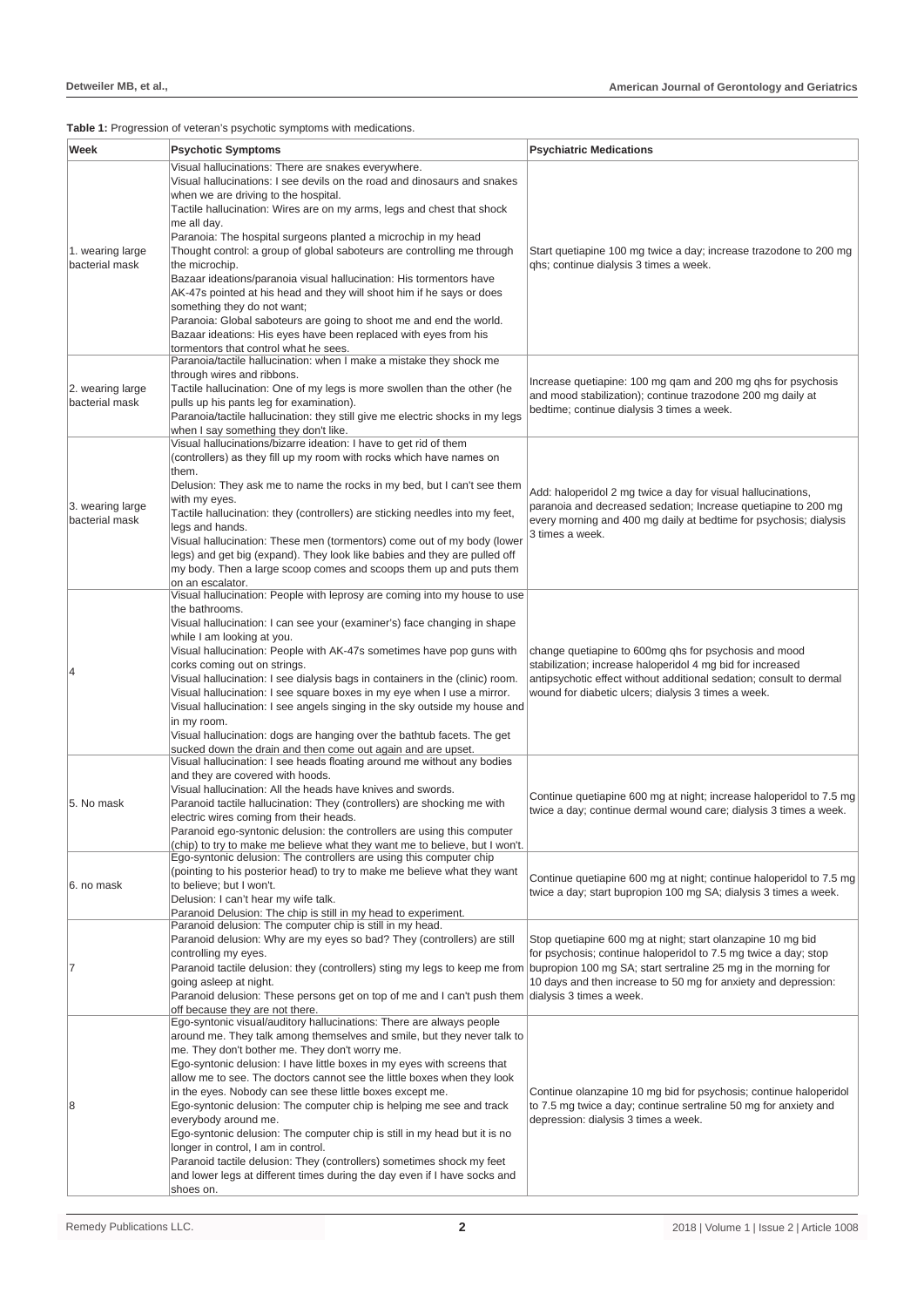# **Table 1:** Progression of veteran's psychotic symptoms with medications.

| Week                               | <b>Psychotic Symptoms</b>                                                                                                                                                                                                                                                                                                          | <b>Psychiatric Medications</b>                                                                                                                                                                                                                    |
|------------------------------------|------------------------------------------------------------------------------------------------------------------------------------------------------------------------------------------------------------------------------------------------------------------------------------------------------------------------------------|---------------------------------------------------------------------------------------------------------------------------------------------------------------------------------------------------------------------------------------------------|
| 1. wearing large<br>bacterial mask | Visual hallucinations: There are snakes everywhere.<br>Visual hallucinations: I see devils on the road and dinosaurs and snakes<br>when we are driving to the hospital.<br>Tactile hallucination: Wires are on my arms, legs and chest that shock<br>me all day.<br>Paranoia: The hospital surgeons planted a microchip in my head | Start quetiapine 100 mg twice a day; increase trazodone to 200 mg<br>ghs; continue dialysis 3 times a week.                                                                                                                                       |
|                                    | Thought control: a group of global saboteurs are controlling me through<br>the microchip.<br>Bazaar ideations/paranoia visual hallucination: His tormentors have                                                                                                                                                                   |                                                                                                                                                                                                                                                   |
|                                    | AK-47s pointed at his head and they will shoot him if he says or does<br>something they do not want;<br>Paranoia: Global saboteurs are going to shoot me and end the world.<br>Bazaar ideations: His eyes have been replaced with eyes from his<br>tormentors that control what he sees.                                           |                                                                                                                                                                                                                                                   |
|                                    | Paranoia/tactile hallucination: when I make a mistake they shock me<br>through wires and ribbons.                                                                                                                                                                                                                                  |                                                                                                                                                                                                                                                   |
| 2. wearing large<br>bacterial mask | Tactile hallucination: One of my legs is more swollen than the other (he<br>pulls up his pants leg for examination).<br>Paranoia/tactile hallucination: they still give me electric shocks in my legs<br>when I say something they don't like.                                                                                     | Increase quetiapine: 100 mg qam and 200 mg qhs for psychosis<br>and mood stabilization); continue trazodone 200 mg daily at<br>bedtime; continue dialysis 3 times a week.                                                                         |
| 3. wearing large<br>bacterial mask | Visual hallucinations/bizarre ideation: I have to get rid of them<br>(controllers) as they fill up my room with rocks which have names on                                                                                                                                                                                          |                                                                                                                                                                                                                                                   |
|                                    | them.<br>Delusion: They ask me to name the rocks in my bed, but I can't see them<br>with my eyes.                                                                                                                                                                                                                                  | Add: haloperidol 2 mg twice a day for visual hallucinations,<br>paranoia and decreased sedation; Increase quetiapine to 200 mg<br>every morning and 400 mg daily at bedtime for psychosis; dialysis<br>3 times a week.                            |
|                                    | Tactile hallucination: they (controllers) are sticking needles into my feet,<br>legs and hands.                                                                                                                                                                                                                                    |                                                                                                                                                                                                                                                   |
|                                    | Visual hallucination: These men (tormentors) come out of my body (lower<br>legs) and get big (expand). They look like babies and they are pulled off<br>my body. Then a large scoop comes and scoops them up and puts them<br>on an escalator.                                                                                     |                                                                                                                                                                                                                                                   |
|                                    | Visual hallucination: People with leprosy are coming into my house to use<br>the bathrooms.                                                                                                                                                                                                                                        | change quetiapine to 600mg qhs for psychosis and mood<br>stabilization; increase haloperidol 4 mg bid for increased<br>antipsychotic effect without additional sedation; consult to dermal<br>wound for diabetic ulcers; dialysis 3 times a week. |
|                                    | Visual hallucination: I can see your (examiner's) face changing in shape<br>while I am looking at you.                                                                                                                                                                                                                             |                                                                                                                                                                                                                                                   |
| 4                                  | Visual hallucination: People with AK-47s sometimes have pop guns with<br>corks coming out on strings.                                                                                                                                                                                                                              |                                                                                                                                                                                                                                                   |
|                                    | Visual hallucination: I see dialysis bags in containers in the (clinic) room.<br>Visual hallucination: I see square boxes in my eye when I use a mirror.<br>Visual hallucination: I see angels singing in the sky outside my house and<br>in my room.                                                                              |                                                                                                                                                                                                                                                   |
|                                    | Visual hallucination: dogs are hanging over the bathtub facets. The get<br>sucked down the drain and then come out again and are upset.                                                                                                                                                                                            |                                                                                                                                                                                                                                                   |
|                                    | Visual hallucination: I see heads floating around me without any bodies<br>and they are covered with hoods.                                                                                                                                                                                                                        |                                                                                                                                                                                                                                                   |
| 5. No mask                         | Visual hallucination: All the heads have knives and swords.<br>Paranoid tactile hallucination: They (controllers) are shocking me with<br>electric wires coming from their heads.                                                                                                                                                  | Continue quetiapine 600 mg at night; increase haloperidol to 7.5 mg<br>twice a day; continue dermal wound care; dialysis 3 times a week.                                                                                                          |
|                                    | Paranoid ego-syntonic delusion: the controllers are using this computer<br>(chip) to try to make me believe what they want me to believe, but I won't.                                                                                                                                                                             |                                                                                                                                                                                                                                                   |
| 6. no mask                         | Ego-syntonic delusion: The controllers are using this computer chip<br>(pointing to his posterior head) to try to make me believe what they want<br>to believe; but I won't.<br>Delusion: I can't hear my wife talk.                                                                                                               | Continue quetiapine 600 mg at night; continue haloperidol to 7.5 mg<br>twice a day; start bupropion 100 mg SA; dialysis 3 times a week.                                                                                                           |
|                                    | Paranoid Delusion: The chip is still in my head to experiment.<br>Paranoid delusion: The computer chip is still in my head.                                                                                                                                                                                                        |                                                                                                                                                                                                                                                   |
| 7                                  | Paranoid delusion: Why are my eyes so bad? They (controllers) are still<br>controlling my eyes.                                                                                                                                                                                                                                    | Stop quetiapine 600 mg at night; start olanzapine 10 mg bid<br>for psychosis; continue haloperidol to 7.5 mg twice a day; stop<br>10 days and then increase to 50 mg for anxiety and depression:                                                  |
|                                    | Paranoid tactile delusion: they (controllers) sting my legs to keep me from bupropion 100 mg SA; start sertraline 25 mg in the morning for<br>going asleep at night.<br>Paranoid delusion: These persons get on top of me and I can't push them dialysis 3 times a week.                                                           |                                                                                                                                                                                                                                                   |
| 8                                  | off because they are not there.<br>Ego-syntonic visual/auditory hallucinations: There are always people                                                                                                                                                                                                                            | Continue olanzapine 10 mg bid for psychosis; continue haloperidol<br>to 7.5 mg twice a day; continue sertraline 50 mg for anxiety and<br>depression: dialysis 3 times a week.                                                                     |
|                                    | around me. They talk among themselves and smile, but they never talk to<br>me. They don't bother me. They don't worry me.<br>Ego-syntonic delusion: I have little boxes in my eyes with screens that                                                                                                                               |                                                                                                                                                                                                                                                   |
|                                    | allow me to see. The doctors cannot see the little boxes when they look<br>in the eyes. Nobody can see these little boxes except me.                                                                                                                                                                                               |                                                                                                                                                                                                                                                   |
|                                    | Ego-syntonic delusion: The computer chip is helping me see and track<br>everybody around me.                                                                                                                                                                                                                                       |                                                                                                                                                                                                                                                   |
|                                    | Ego-syntonic delusion: The computer chip is still in my head but it is no<br>longer in control, I am in control.                                                                                                                                                                                                                   |                                                                                                                                                                                                                                                   |
|                                    | Paranoid tactile delusion: They (controllers) sometimes shock my feet<br>and lower legs at different times during the day even if I have socks and<br>shoes on.                                                                                                                                                                    |                                                                                                                                                                                                                                                   |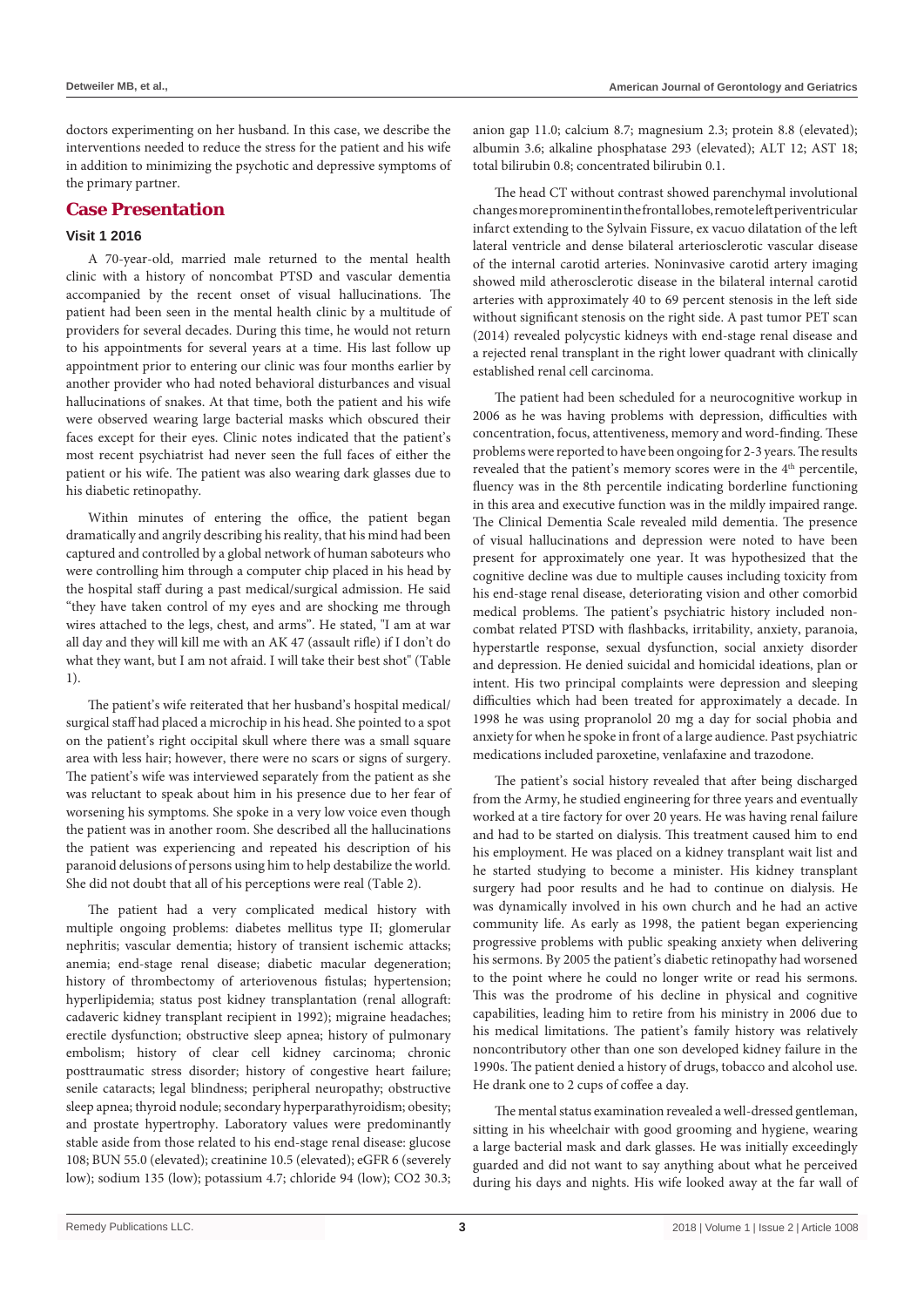doctors experimenting on her husband. In this case, we describe the interventions needed to reduce the stress for the patient and his wife in addition to minimizing the psychotic and depressive symptoms of the primary partner.

# **Case Presentation**

# **Visit 1 2016**

A 70-year-old, married male returned to the mental health clinic with a history of noncombat PTSD and vascular dementia accompanied by the recent onset of visual hallucinations. The patient had been seen in the mental health clinic by a multitude of providers for several decades. During this time, he would not return to his appointments for several years at a time. His last follow up appointment prior to entering our clinic was four months earlier by another provider who had noted behavioral disturbances and visual hallucinations of snakes. At that time, both the patient and his wife were observed wearing large bacterial masks which obscured their faces except for their eyes. Clinic notes indicated that the patient's most recent psychiatrist had never seen the full faces of either the patient or his wife. The patient was also wearing dark glasses due to his diabetic retinopathy.

Within minutes of entering the office, the patient began dramatically and angrily describing his reality, that his mind had been captured and controlled by a global network of human saboteurs who were controlling him through a computer chip placed in his head by the hospital staff during a past medical/surgical admission. He said "they have taken control of my eyes and are shocking me through wires attached to the legs, chest, and arms". He stated, "I am at war all day and they will kill me with an AK 47 (assault rifle) if I don't do what they want, but I am not afraid. I will take their best shot" (Table 1).

The patient's wife reiterated that her husband's hospital medical/ surgical staff had placed a microchip in his head. She pointed to a spot on the patient's right occipital skull where there was a small square area with less hair; however, there were no scars or signs of surgery. The patient's wife was interviewed separately from the patient as she was reluctant to speak about him in his presence due to her fear of worsening his symptoms. She spoke in a very low voice even though the patient was in another room. She described all the hallucinations the patient was experiencing and repeated his description of his paranoid delusions of persons using him to help destabilize the world. She did not doubt that all of his perceptions were real (Table 2).

The patient had a very complicated medical history with multiple ongoing problems: diabetes mellitus type II; glomerular nephritis; vascular dementia; history of transient ischemic attacks; anemia; end-stage renal disease; diabetic macular degeneration; history of thrombectomy of arteriovenous fistulas; hypertension; hyperlipidemia; status post kidney transplantation (renal allograft: cadaveric kidney transplant recipient in 1992); migraine headaches; erectile dysfunction; obstructive sleep apnea; history of pulmonary embolism; history of clear cell kidney carcinoma; chronic posttraumatic stress disorder; history of congestive heart failure; senile cataracts; legal blindness; peripheral neuropathy; obstructive sleep apnea; thyroid nodule; secondary hyperparathyroidism; obesity; and prostate hypertrophy. Laboratory values were predominantly stable aside from those related to his end-stage renal disease: glucose 108; BUN 55.0 (elevated); creatinine 10.5 (elevated); eGFR 6 (severely low); sodium 135 (low); potassium 4.7; chloride 94 (low); CO2 30.3; anion gap 11.0; calcium 8.7; magnesium 2.3; protein 8.8 (elevated); albumin 3.6; alkaline phosphatase 293 (elevated); ALT 12; AST 18; total bilirubin 0.8; concentrated bilirubin 0.1.

The head CT without contrast showed parenchymal involutional changes more prominent in the frontal lobes, remote left periventricular infarct extending to the Sylvain Fissure, ex vacuo dilatation of the left lateral ventricle and dense bilateral arteriosclerotic vascular disease of the internal carotid arteries. Noninvasive carotid artery imaging showed mild atherosclerotic disease in the bilateral internal carotid arteries with approximately 40 to 69 percent stenosis in the left side without significant stenosis on the right side. A past tumor PET scan (2014) revealed polycystic kidneys with end-stage renal disease and a rejected renal transplant in the right lower quadrant with clinically established renal cell carcinoma.

The patient had been scheduled for a neurocognitive workup in 2006 as he was having problems with depression, difficulties with concentration, focus, attentiveness, memory and word-finding. These problems were reported to have been ongoing for 2-3 years. The results revealed that the patient's memory scores were in the 4<sup>th</sup> percentile, fluency was in the 8th percentile indicating borderline functioning in this area and executive function was in the mildly impaired range. The Clinical Dementia Scale revealed mild dementia. The presence of visual hallucinations and depression were noted to have been present for approximately one year. It was hypothesized that the cognitive decline was due to multiple causes including toxicity from his end-stage renal disease, deteriorating vision and other comorbid medical problems. The patient's psychiatric history included noncombat related PTSD with flashbacks, irritability, anxiety, paranoia, hyperstartle response, sexual dysfunction, social anxiety disorder and depression. He denied suicidal and homicidal ideations, plan or intent. His two principal complaints were depression and sleeping difficulties which had been treated for approximately a decade. In 1998 he was using propranolol 20 mg a day for social phobia and anxiety for when he spoke in front of a large audience. Past psychiatric medications included paroxetine, venlafaxine and trazodone.

The patient's social history revealed that after being discharged from the Army, he studied engineering for three years and eventually worked at a tire factory for over 20 years. He was having renal failure and had to be started on dialysis. This treatment caused him to end his employment. He was placed on a kidney transplant wait list and he started studying to become a minister. His kidney transplant surgery had poor results and he had to continue on dialysis. He was dynamically involved in his own church and he had an active community life. As early as 1998, the patient began experiencing progressive problems with public speaking anxiety when delivering his sermons. By 2005 the patient's diabetic retinopathy had worsened to the point where he could no longer write or read his sermons. This was the prodrome of his decline in physical and cognitive capabilities, leading him to retire from his ministry in 2006 due to his medical limitations. The patient's family history was relatively noncontributory other than one son developed kidney failure in the 1990s. The patient denied a history of drugs, tobacco and alcohol use. He drank one to 2 cups of coffee a day.

The mental status examination revealed a well-dressed gentleman, sitting in his wheelchair with good grooming and hygiene, wearing a large bacterial mask and dark glasses. He was initially exceedingly guarded and did not want to say anything about what he perceived during his days and nights. His wife looked away at the far wall of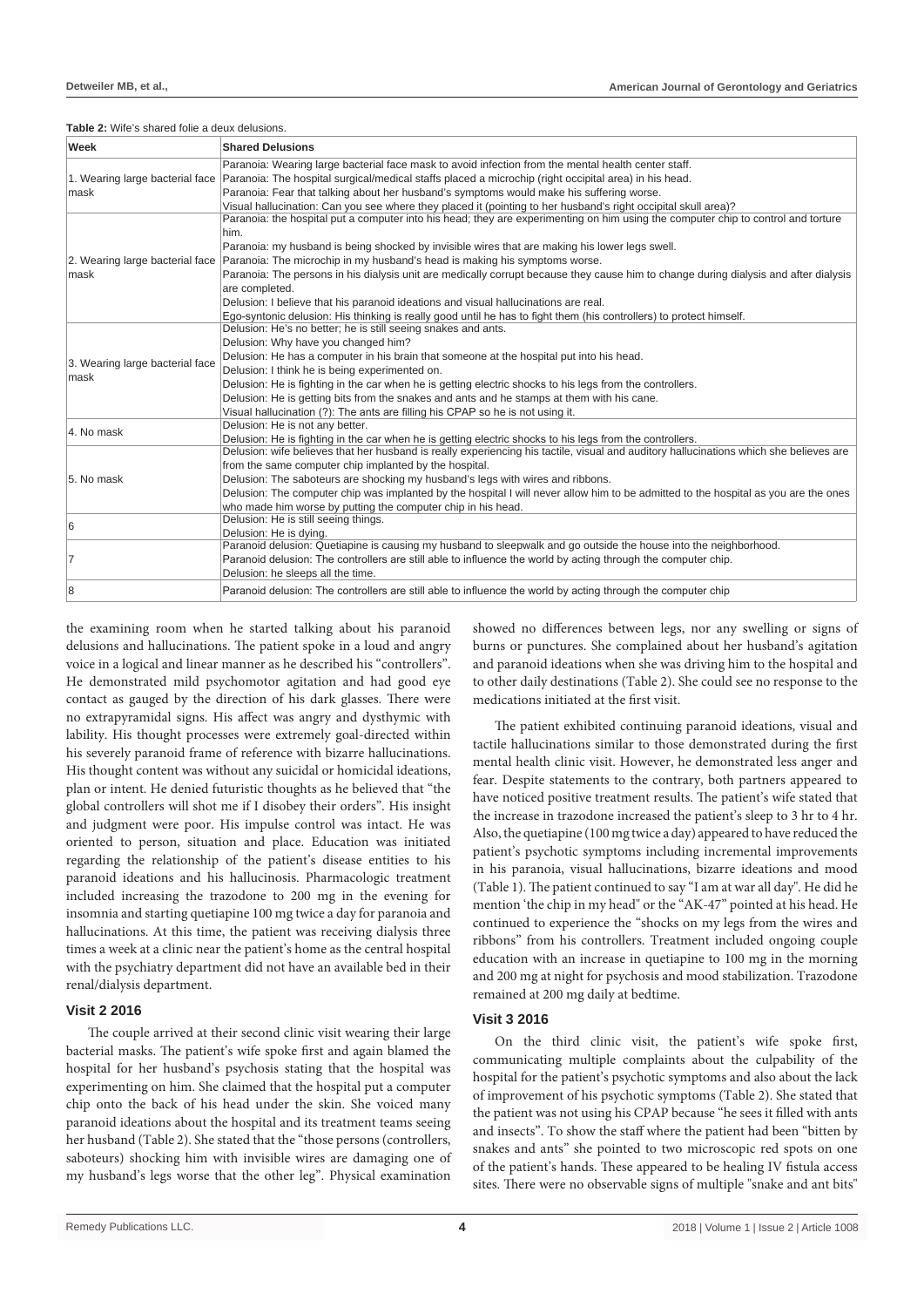#### **Table 2:** Wife's shared folie a deux delusions.

| Week                            | <b>Shared Delusions</b>                                                                                                                |  |
|---------------------------------|----------------------------------------------------------------------------------------------------------------------------------------|--|
|                                 | Paranoia: Wearing large bacterial face mask to avoid infection from the mental health center staff.                                    |  |
|                                 | 1. Wearing large bacterial face Paranoia: The hospital surgical/medical staffs placed a microchip (right occipital area) in his head.  |  |
| mask                            | Paranoia: Fear that talking about her husband's symptoms would make his suffering worse.                                               |  |
|                                 | Visual hallucination: Can you see where they placed it (pointing to her husband's right occipital skull area)?                         |  |
|                                 | Paranoia: the hospital put a computer into his head; they are experimenting on him using the computer chip to control and torture      |  |
|                                 | him.                                                                                                                                   |  |
|                                 | Paranoia: my husband is being shocked by invisible wires that are making his lower legs swell.                                         |  |
|                                 | 2. Wearing large bacterial face Paranoia: The microchip in my husband's head is making his symptoms worse.                             |  |
| mask                            | Paranoia: The persons in his dialysis unit are medically corrupt because they cause him to change during dialysis and after dialysis   |  |
|                                 | are completed.                                                                                                                         |  |
|                                 | Delusion: I believe that his paranoid ideations and visual hallucinations are real.                                                    |  |
|                                 | Ego-syntonic delusion: His thinking is really good until he has to fight them (his controllers) to protect himself.                    |  |
|                                 | Delusion: He's no better; he is still seeing snakes and ants.                                                                          |  |
|                                 | Delusion: Why have you changed him?                                                                                                    |  |
| 3. Wearing large bacterial face | Delusion: He has a computer in his brain that someone at the hospital put into his head.                                               |  |
| mask                            | Delusion: I think he is being experimented on.                                                                                         |  |
|                                 | Delusion: He is fighting in the car when he is getting electric shocks to his legs from the controllers.                               |  |
|                                 | Delusion: He is getting bits from the snakes and ants and he stamps at them with his cane.                                             |  |
|                                 | Visual hallucination (?): The ants are filling his CPAP so he is not using it.                                                         |  |
| 4. No mask                      | Delusion: He is not any better.                                                                                                        |  |
|                                 | Delusion: He is fighting in the car when he is getting electric shocks to his legs from the controllers.                               |  |
|                                 | Delusion: wife believes that her husband is really experiencing his tactile, visual and auditory hallucinations which she believes are |  |
| 5. No mask                      | from the same computer chip implanted by the hospital.                                                                                 |  |
|                                 | Delusion: The saboteurs are shocking my husband's legs with wires and ribbons.                                                         |  |
|                                 | Delusion: The computer chip was implanted by the hospital I will never allow him to be admitted to the hospital as you are the ones    |  |
|                                 | who made him worse by putting the computer chip in his head.                                                                           |  |
| 6                               | Delusion: He is still seeing things.                                                                                                   |  |
|                                 | Delusion: He is dying.                                                                                                                 |  |
|                                 | Paranoid delusion: Quetiapine is causing my husband to sleepwalk and go outside the house into the neighborhood.                       |  |
| 7                               | Paranoid delusion: The controllers are still able to influence the world by acting through the computer chip.                          |  |
|                                 | Delusion: he sleeps all the time.                                                                                                      |  |
| 8                               | Paranoid delusion: The controllers are still able to influence the world by acting through the computer chip                           |  |

the examining room when he started talking about his paranoid delusions and hallucinations. The patient spoke in a loud and angry voice in a logical and linear manner as he described his "controllers". He demonstrated mild psychomotor agitation and had good eye contact as gauged by the direction of his dark glasses. There were no extrapyramidal signs. His affect was angry and dysthymic with lability. His thought processes were extremely goal-directed within his severely paranoid frame of reference with bizarre hallucinations. His thought content was without any suicidal or homicidal ideations, plan or intent. He denied futuristic thoughts as he believed that "the global controllers will shot me if I disobey their orders". His insight and judgment were poor. His impulse control was intact. He was oriented to person, situation and place. Education was initiated regarding the relationship of the patient's disease entities to his paranoid ideations and his hallucinosis. Pharmacologic treatment included increasing the trazodone to 200 mg in the evening for insomnia and starting quetiapine 100 mg twice a day for paranoia and hallucinations. At this time, the patient was receiving dialysis three times a week at a clinic near the patient's home as the central hospital with the psychiatry department did not have an available bed in their renal/dialysis department.

#### **Visit 2 2016**

The couple arrived at their second clinic visit wearing their large bacterial masks. The patient's wife spoke first and again blamed the hospital for her husband's psychosis stating that the hospital was experimenting on him. She claimed that the hospital put a computer chip onto the back of his head under the skin. She voiced many paranoid ideations about the hospital and its treatment teams seeing her husband (Table 2). She stated that the "those persons (controllers, saboteurs) shocking him with invisible wires are damaging one of my husband's legs worse that the other leg". Physical examination

showed no differences between legs, nor any swelling or signs of burns or punctures. She complained about her husband's agitation and paranoid ideations when she was driving him to the hospital and to other daily destinations (Table 2). She could see no response to the medications initiated at the first visit.

The patient exhibited continuing paranoid ideations, visual and tactile hallucinations similar to those demonstrated during the first mental health clinic visit. However, he demonstrated less anger and fear. Despite statements to the contrary, both partners appeared to have noticed positive treatment results. The patient's wife stated that the increase in trazodone increased the patient's sleep to 3 hr to 4 hr. Also, the quetiapine (100 mg twice a day) appeared to have reduced the patient's psychotic symptoms including incremental improvements in his paranoia, visual hallucinations, bizarre ideations and mood (Table 1). The patient continued to say "I am at war all day". He did he mention 'the chip in my head" or the "AK-47" pointed at his head. He continued to experience the "shocks on my legs from the wires and ribbons" from his controllers. Treatment included ongoing couple education with an increase in quetiapine to 100 mg in the morning and 200 mg at night for psychosis and mood stabilization. Trazodone remained at 200 mg daily at bedtime.

#### **Visit 3 2016**

On the third clinic visit, the patient's wife spoke first, communicating multiple complaints about the culpability of the hospital for the patient's psychotic symptoms and also about the lack of improvement of his psychotic symptoms (Table 2). She stated that the patient was not using his CPAP because "he sees it filled with ants and insects". To show the staff where the patient had been "bitten by snakes and ants" she pointed to two microscopic red spots on one of the patient's hands. These appeared to be healing IV fistula access sites. There were no observable signs of multiple "snake and ant bits"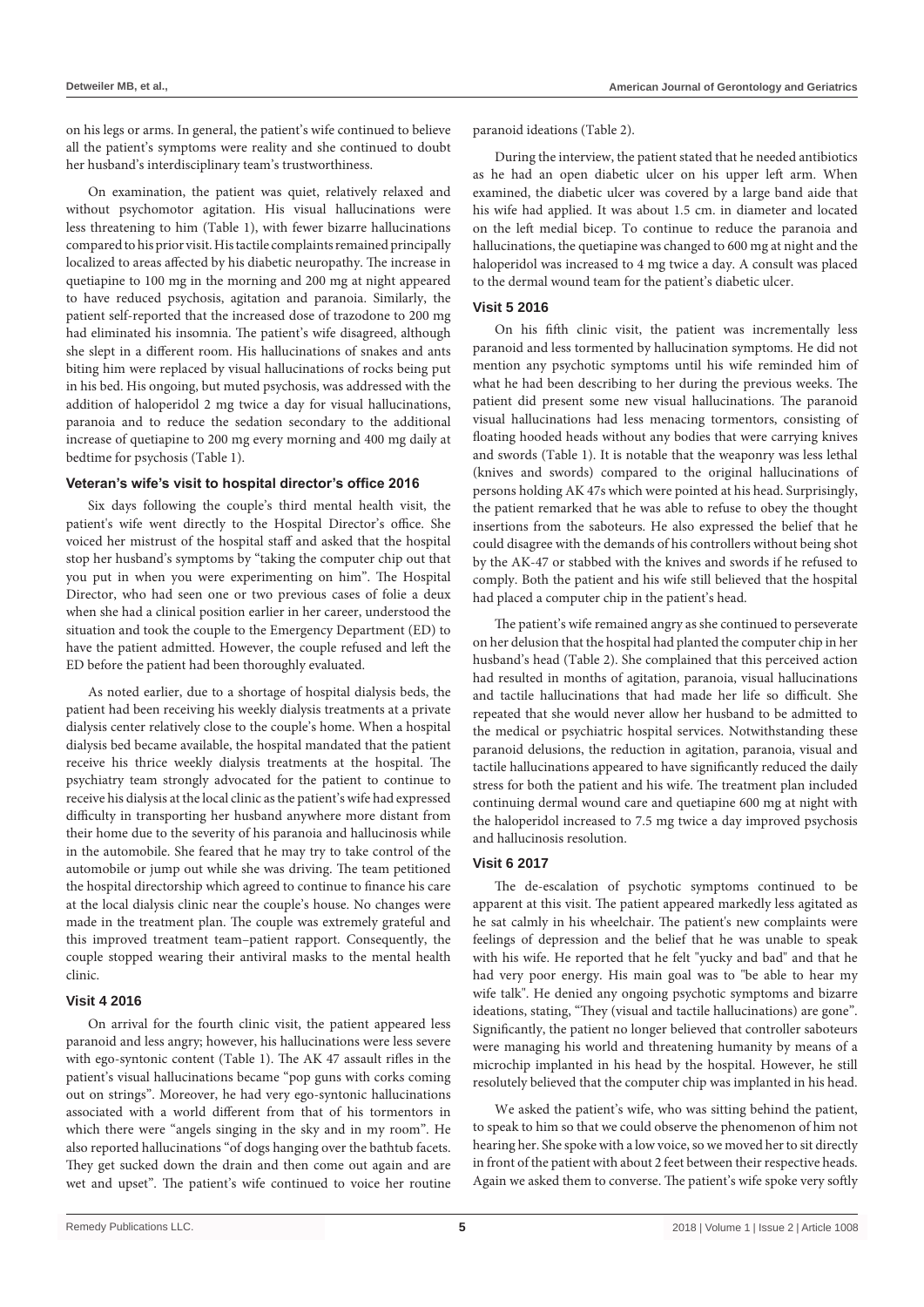on his legs or arms. In general, the patient's wife continued to believe all the patient's symptoms were reality and she continued to doubt her husband's interdisciplinary team's trustworthiness.

On examination, the patient was quiet, relatively relaxed and without psychomotor agitation. His visual hallucinations were less threatening to him (Table 1), with fewer bizarre hallucinations compared to his prior visit. His tactile complaints remained principally localized to areas affected by his diabetic neuropathy. The increase in quetiapine to 100 mg in the morning and 200 mg at night appeared to have reduced psychosis, agitation and paranoia. Similarly, the patient self-reported that the increased dose of trazodone to 200 mg had eliminated his insomnia. The patient's wife disagreed, although she slept in a different room. His hallucinations of snakes and ants biting him were replaced by visual hallucinations of rocks being put in his bed. His ongoing, but muted psychosis, was addressed with the addition of haloperidol 2 mg twice a day for visual hallucinations, paranoia and to reduce the sedation secondary to the additional increase of quetiapine to 200 mg every morning and 400 mg daily at bedtime for psychosis (Table 1).

# **Veteran's wife's visit to hospital director's office 2016**

Six days following the couple's third mental health visit, the patient's wife went directly to the Hospital Director's office. She voiced her mistrust of the hospital staff and asked that the hospital stop her husband's symptoms by "taking the computer chip out that you put in when you were experimenting on him". The Hospital Director, who had seen one or two previous cases of folie a deux when she had a clinical position earlier in her career, understood the situation and took the couple to the Emergency Department (ED) to have the patient admitted. However, the couple refused and left the ED before the patient had been thoroughly evaluated.

As noted earlier, due to a shortage of hospital dialysis beds, the patient had been receiving his weekly dialysis treatments at a private dialysis center relatively close to the couple's home. When a hospital dialysis bed became available, the hospital mandated that the patient receive his thrice weekly dialysis treatments at the hospital. The psychiatry team strongly advocated for the patient to continue to receive his dialysis at the local clinic as the patient's wife had expressed difficulty in transporting her husband anywhere more distant from their home due to the severity of his paranoia and hallucinosis while in the automobile. She feared that he may try to take control of the automobile or jump out while she was driving. The team petitioned the hospital directorship which agreed to continue to finance his care at the local dialysis clinic near the couple's house. No changes were made in the treatment plan. The couple was extremely grateful and this improved treatment team–patient rapport. Consequently, the couple stopped wearing their antiviral masks to the mental health clinic.

#### **Visit 4 2016**

On arrival for the fourth clinic visit, the patient appeared less paranoid and less angry; however, his hallucinations were less severe with ego-syntonic content (Table 1). The AK 47 assault rifles in the patient's visual hallucinations became "pop guns with corks coming out on strings". Moreover, he had very ego-syntonic hallucinations associated with a world different from that of his tormentors in which there were "angels singing in the sky and in my room". He also reported hallucinations "of dogs hanging over the bathtub facets. They get sucked down the drain and then come out again and are wet and upset". The patient's wife continued to voice her routine paranoid ideations (Table 2).

During the interview, the patient stated that he needed antibiotics as he had an open diabetic ulcer on his upper left arm. When examined, the diabetic ulcer was covered by a large band aide that his wife had applied. It was about 1.5 cm. in diameter and located on the left medial bicep. To continue to reduce the paranoia and hallucinations, the quetiapine was changed to 600 mg at night and the haloperidol was increased to 4 mg twice a day. A consult was placed to the dermal wound team for the patient's diabetic ulcer.

#### **Visit 5 2016**

On his fifth clinic visit, the patient was incrementally less paranoid and less tormented by hallucination symptoms. He did not mention any psychotic symptoms until his wife reminded him of what he had been describing to her during the previous weeks. The patient did present some new visual hallucinations. The paranoid visual hallucinations had less menacing tormentors, consisting of floating hooded heads without any bodies that were carrying knives and swords (Table 1). It is notable that the weaponry was less lethal (knives and swords) compared to the original hallucinations of persons holding AK 47s which were pointed at his head. Surprisingly, the patient remarked that he was able to refuse to obey the thought insertions from the saboteurs. He also expressed the belief that he could disagree with the demands of his controllers without being shot by the AK-47 or stabbed with the knives and swords if he refused to comply. Both the patient and his wife still believed that the hospital had placed a computer chip in the patient's head.

The patient's wife remained angry as she continued to perseverate on her delusion that the hospital had planted the computer chip in her husband's head (Table 2). She complained that this perceived action had resulted in months of agitation, paranoia, visual hallucinations and tactile hallucinations that had made her life so difficult. She repeated that she would never allow her husband to be admitted to the medical or psychiatric hospital services. Notwithstanding these paranoid delusions, the reduction in agitation, paranoia, visual and tactile hallucinations appeared to have significantly reduced the daily stress for both the patient and his wife. The treatment plan included continuing dermal wound care and quetiapine 600 mg at night with the haloperidol increased to 7.5 mg twice a day improved psychosis and hallucinosis resolution.

# **Visit 6 2017**

The de-escalation of psychotic symptoms continued to be apparent at this visit. The patient appeared markedly less agitated as he sat calmly in his wheelchair. The patient's new complaints were feelings of depression and the belief that he was unable to speak with his wife. He reported that he felt "yucky and bad" and that he had very poor energy. His main goal was to "be able to hear my wife talk". He denied any ongoing psychotic symptoms and bizarre ideations, stating, "They (visual and tactile hallucinations) are gone". Significantly, the patient no longer believed that controller saboteurs were managing his world and threatening humanity by means of a microchip implanted in his head by the hospital. However, he still resolutely believed that the computer chip was implanted in his head.

We asked the patient's wife, who was sitting behind the patient, to speak to him so that we could observe the phenomenon of him not hearing her. She spoke with a low voice, so we moved her to sit directly in front of the patient with about 2 feet between their respective heads. Again we asked them to converse. The patient's wife spoke very softly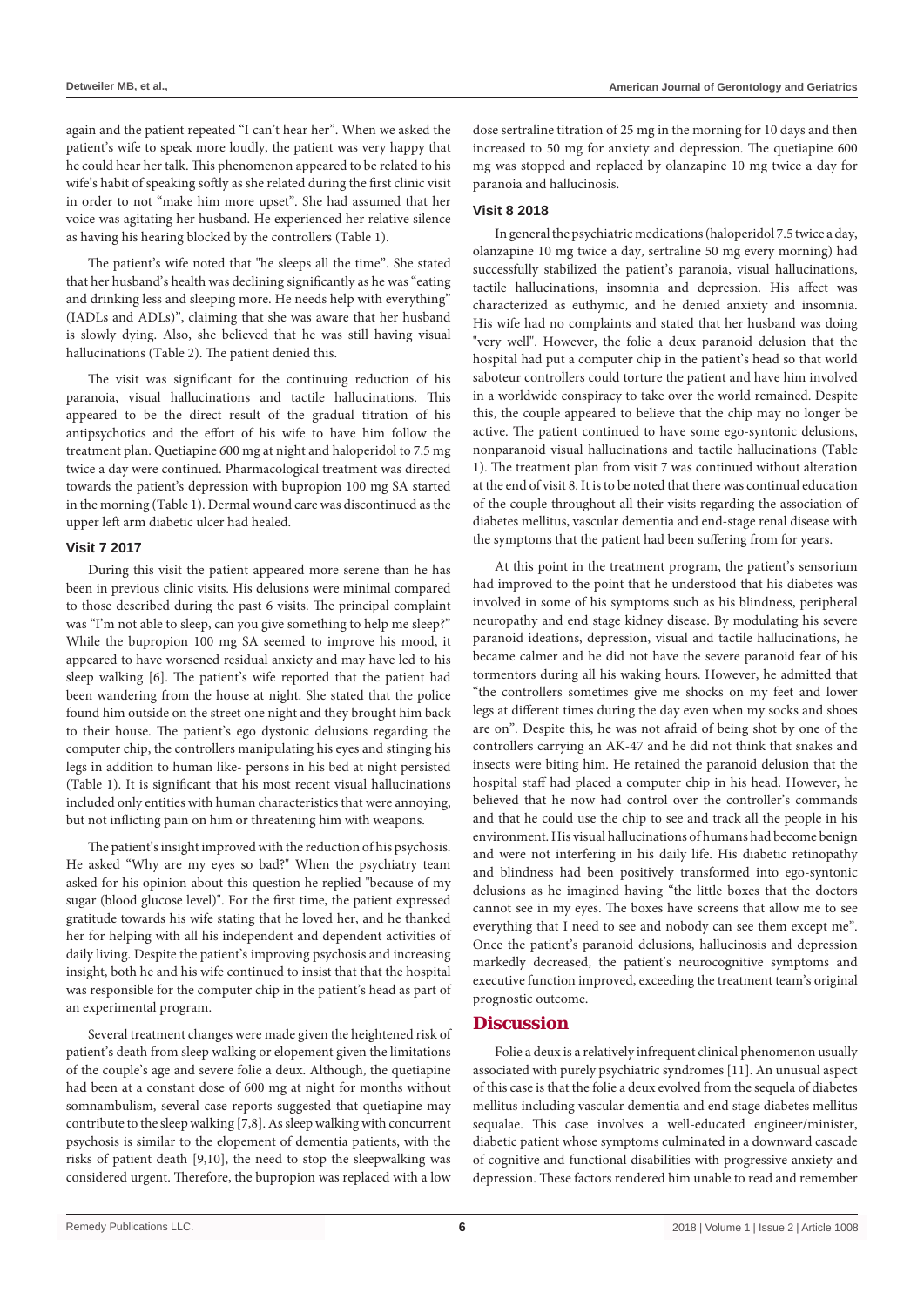again and the patient repeated "I can't hear her". When we asked the patient's wife to speak more loudly, the patient was very happy that he could hear her talk. This phenomenon appeared to be related to his wife's habit of speaking softly as she related during the first clinic visit in order to not "make him more upset". She had assumed that her voice was agitating her husband. He experienced her relative silence as having his hearing blocked by the controllers (Table 1).

The patient's wife noted that "he sleeps all the time". She stated that her husband's health was declining significantly as he was "eating and drinking less and sleeping more. He needs help with everything" (IADLs and ADLs)", claiming that she was aware that her husband is slowly dying. Also, she believed that he was still having visual hallucinations (Table 2). The patient denied this.

The visit was significant for the continuing reduction of his paranoia, visual hallucinations and tactile hallucinations. This appeared to be the direct result of the gradual titration of his antipsychotics and the effort of his wife to have him follow the treatment plan. Quetiapine 600 mg at night and haloperidol to 7.5 mg twice a day were continued. Pharmacological treatment was directed towards the patient's depression with bupropion 100 mg SA started in the morning (Table 1). Dermal wound care was discontinued as the upper left arm diabetic ulcer had healed.

# **Visit 7 2017**

During this visit the patient appeared more serene than he has been in previous clinic visits. His delusions were minimal compared to those described during the past 6 visits. The principal complaint was "I'm not able to sleep, can you give something to help me sleep?" While the bupropion 100 mg SA seemed to improve his mood, it appeared to have worsened residual anxiety and may have led to his sleep walking [6]. The patient's wife reported that the patient had been wandering from the house at night. She stated that the police found him outside on the street one night and they brought him back to their house. The patient's ego dystonic delusions regarding the computer chip, the controllers manipulating his eyes and stinging his legs in addition to human like- persons in his bed at night persisted (Table 1). It is significant that his most recent visual hallucinations included only entities with human characteristics that were annoying, but not inflicting pain on him or threatening him with weapons.

The patient's insight improved with the reduction of his psychosis. He asked "Why are my eyes so bad?" When the psychiatry team asked for his opinion about this question he replied "because of my sugar (blood glucose level)". For the first time, the patient expressed gratitude towards his wife stating that he loved her, and he thanked her for helping with all his independent and dependent activities of daily living. Despite the patient's improving psychosis and increasing insight, both he and his wife continued to insist that that the hospital was responsible for the computer chip in the patient's head as part of an experimental program.

Several treatment changes were made given the heightened risk of patient's death from sleep walking or elopement given the limitations of the couple's age and severe folie a deux. Although, the quetiapine had been at a constant dose of 600 mg at night for months without somnambulism, several case reports suggested that quetiapine may contribute to the sleep walking [7,8]. As sleep walking with concurrent psychosis is similar to the elopement of dementia patients, with the risks of patient death [9,10], the need to stop the sleepwalking was considered urgent. Therefore, the bupropion was replaced with a low

dose sertraline titration of 25 mg in the morning for 10 days and then increased to 50 mg for anxiety and depression. The quetiapine 600 mg was stopped and replaced by olanzapine 10 mg twice a day for paranoia and hallucinosis.

# **Visit 8 2018**

In general the psychiatric medications (haloperidol 7.5 twice a day, olanzapine 10 mg twice a day, sertraline 50 mg every morning) had successfully stabilized the patient's paranoia, visual hallucinations, tactile hallucinations, insomnia and depression. His affect was characterized as euthymic, and he denied anxiety and insomnia. His wife had no complaints and stated that her husband was doing "very well". However, the folie a deux paranoid delusion that the hospital had put a computer chip in the patient's head so that world saboteur controllers could torture the patient and have him involved in a worldwide conspiracy to take over the world remained. Despite this, the couple appeared to believe that the chip may no longer be active. The patient continued to have some ego-syntonic delusions, nonparanoid visual hallucinations and tactile hallucinations (Table 1). The treatment plan from visit 7 was continued without alteration at the end of visit 8. It is to be noted that there was continual education of the couple throughout all their visits regarding the association of diabetes mellitus, vascular dementia and end-stage renal disease with the symptoms that the patient had been suffering from for years.

At this point in the treatment program, the patient's sensorium had improved to the point that he understood that his diabetes was involved in some of his symptoms such as his blindness, peripheral neuropathy and end stage kidney disease. By modulating his severe paranoid ideations, depression, visual and tactile hallucinations, he became calmer and he did not have the severe paranoid fear of his tormentors during all his waking hours. However, he admitted that "the controllers sometimes give me shocks on my feet and lower legs at different times during the day even when my socks and shoes are on". Despite this, he was not afraid of being shot by one of the controllers carrying an AK-47 and he did not think that snakes and insects were biting him. He retained the paranoid delusion that the hospital staff had placed a computer chip in his head. However, he believed that he now had control over the controller's commands and that he could use the chip to see and track all the people in his environment. His visual hallucinations of humans had become benign and were not interfering in his daily life. His diabetic retinopathy and blindness had been positively transformed into ego-syntonic delusions as he imagined having "the little boxes that the doctors cannot see in my eyes. The boxes have screens that allow me to see everything that I need to see and nobody can see them except me". Once the patient's paranoid delusions, hallucinosis and depression markedly decreased, the patient's neurocognitive symptoms and executive function improved, exceeding the treatment team's original prognostic outcome.

# **Discussion**

Folie a deux is a relatively infrequent clinical phenomenon usually associated with purely psychiatric syndromes [11]. An unusual aspect of this case is that the folie a deux evolved from the sequela of diabetes mellitus including vascular dementia and end stage diabetes mellitus sequalae. This case involves a well-educated engineer/minister, diabetic patient whose symptoms culminated in a downward cascade of cognitive and functional disabilities with progressive anxiety and depression. These factors rendered him unable to read and remember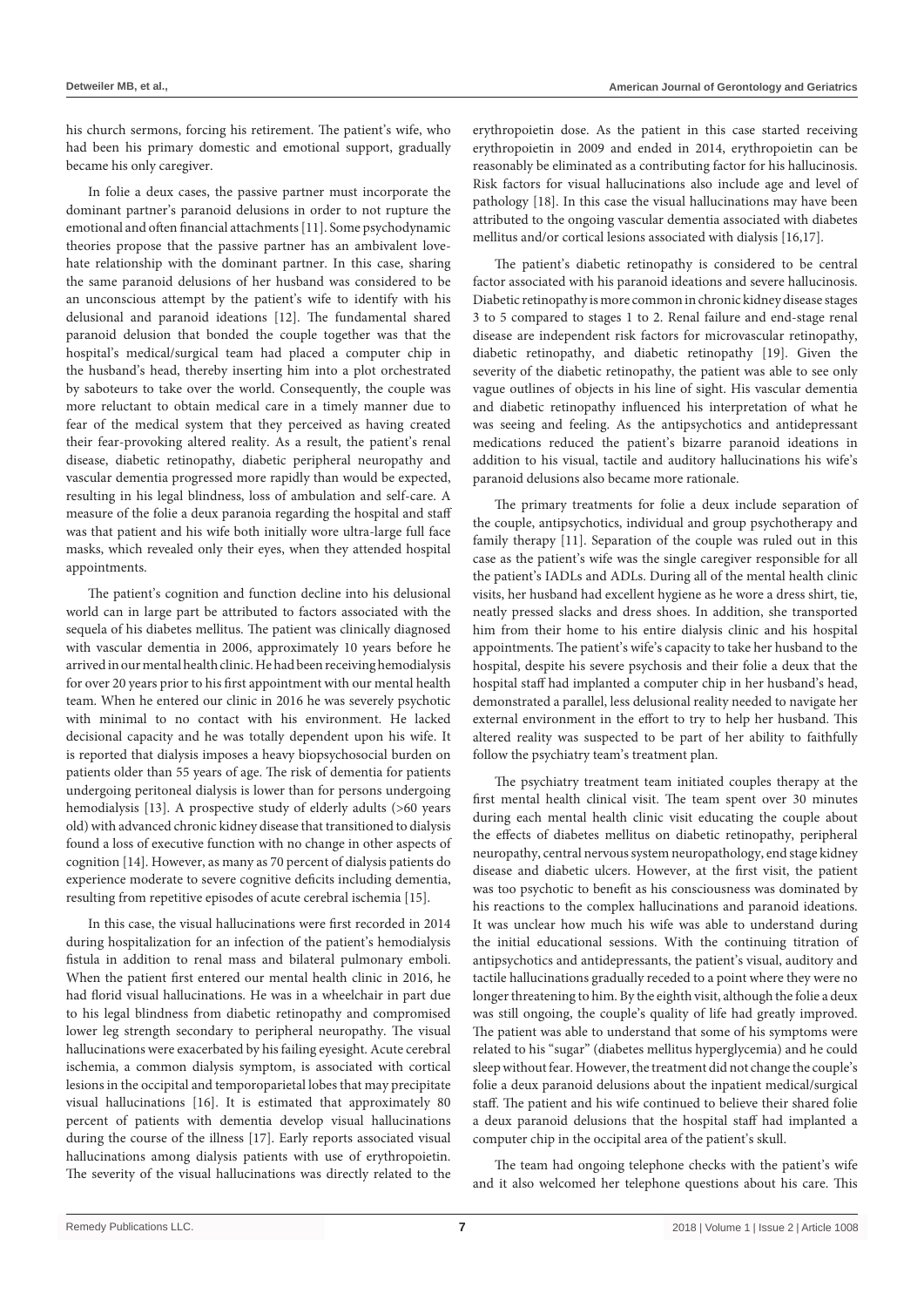his church sermons, forcing his retirement. The patient's wife, who had been his primary domestic and emotional support, gradually became his only caregiver.

In folie a deux cases, the passive partner must incorporate the dominant partner's paranoid delusions in order to not rupture the emotional and often financial attachments [11]. Some psychodynamic theories propose that the passive partner has an ambivalent lovehate relationship with the dominant partner. In this case, sharing the same paranoid delusions of her husband was considered to be an unconscious attempt by the patient's wife to identify with his delusional and paranoid ideations [12]. The fundamental shared paranoid delusion that bonded the couple together was that the hospital's medical/surgical team had placed a computer chip in the husband's head, thereby inserting him into a plot orchestrated by saboteurs to take over the world. Consequently, the couple was more reluctant to obtain medical care in a timely manner due to fear of the medical system that they perceived as having created their fear-provoking altered reality. As a result, the patient's renal disease, diabetic retinopathy, diabetic peripheral neuropathy and vascular dementia progressed more rapidly than would be expected, resulting in his legal blindness, loss of ambulation and self-care. A measure of the folie a deux paranoia regarding the hospital and staff was that patient and his wife both initially wore ultra-large full face masks, which revealed only their eyes, when they attended hospital appointments.

The patient's cognition and function decline into his delusional world can in large part be attributed to factors associated with the sequela of his diabetes mellitus. The patient was clinically diagnosed with vascular dementia in 2006, approximately 10 years before he arrived in our mental health clinic. He had been receiving hemodialysis for over 20 years prior to his first appointment with our mental health team. When he entered our clinic in 2016 he was severely psychotic with minimal to no contact with his environment. He lacked decisional capacity and he was totally dependent upon his wife. It is reported that dialysis imposes a heavy biopsychosocial burden on patients older than 55 years of age. The risk of dementia for patients undergoing peritoneal dialysis is lower than for persons undergoing hemodialysis [13]. A prospective study of elderly adults (>60 years old) with advanced chronic kidney disease that transitioned to dialysis found a loss of executive function with no change in other aspects of cognition [14]. However, as many as 70 percent of dialysis patients do experience moderate to severe cognitive deficits including dementia, resulting from repetitive episodes of acute cerebral ischemia [15].

In this case, the visual hallucinations were first recorded in 2014 during hospitalization for an infection of the patient's hemodialysis fistula in addition to renal mass and bilateral pulmonary emboli. When the patient first entered our mental health clinic in 2016, he had florid visual hallucinations. He was in a wheelchair in part due to his legal blindness from diabetic retinopathy and compromised lower leg strength secondary to peripheral neuropathy. The visual hallucinations were exacerbated by his failing eyesight. Acute cerebral ischemia, a common dialysis symptom, is associated with cortical lesions in the occipital and temporoparietal lobes that may precipitate visual hallucinations [16]. It is estimated that approximately 80 percent of patients with dementia develop visual hallucinations during the course of the illness [17]. Early reports associated visual hallucinations among dialysis patients with use of erythropoietin. The severity of the visual hallucinations was directly related to the erythropoietin dose. As the patient in this case started receiving erythropoietin in 2009 and ended in 2014, erythropoietin can be reasonably be eliminated as a contributing factor for his hallucinosis. Risk factors for visual hallucinations also include age and level of pathology [18]. In this case the visual hallucinations may have been attributed to the ongoing vascular dementia associated with diabetes mellitus and/or cortical lesions associated with dialysis [16,17].

The patient's diabetic retinopathy is considered to be central factor associated with his paranoid ideations and severe hallucinosis. Diabetic retinopathy is more common in chronic kidney disease stages 3 to 5 compared to stages 1 to 2. Renal failure and end-stage renal disease are independent risk factors for microvascular retinopathy, diabetic retinopathy, and diabetic retinopathy [19]. Given the severity of the diabetic retinopathy, the patient was able to see only vague outlines of objects in his line of sight. His vascular dementia and diabetic retinopathy influenced his interpretation of what he was seeing and feeling. As the antipsychotics and antidepressant medications reduced the patient's bizarre paranoid ideations in addition to his visual, tactile and auditory hallucinations his wife's paranoid delusions also became more rationale.

The primary treatments for folie a deux include separation of the couple, antipsychotics, individual and group psychotherapy and family therapy [11]. Separation of the couple was ruled out in this case as the patient's wife was the single caregiver responsible for all the patient's IADLs and ADLs. During all of the mental health clinic visits, her husband had excellent hygiene as he wore a dress shirt, tie, neatly pressed slacks and dress shoes. In addition, she transported him from their home to his entire dialysis clinic and his hospital appointments. The patient's wife's capacity to take her husband to the hospital, despite his severe psychosis and their folie a deux that the hospital staff had implanted a computer chip in her husband's head, demonstrated a parallel, less delusional reality needed to navigate her external environment in the effort to try to help her husband. This altered reality was suspected to be part of her ability to faithfully follow the psychiatry team's treatment plan.

The psychiatry treatment team initiated couples therapy at the first mental health clinical visit. The team spent over 30 minutes during each mental health clinic visit educating the couple about the effects of diabetes mellitus on diabetic retinopathy, peripheral neuropathy, central nervous system neuropathology, end stage kidney disease and diabetic ulcers. However, at the first visit, the patient was too psychotic to benefit as his consciousness was dominated by his reactions to the complex hallucinations and paranoid ideations. It was unclear how much his wife was able to understand during the initial educational sessions. With the continuing titration of antipsychotics and antidepressants, the patient's visual, auditory and tactile hallucinations gradually receded to a point where they were no longer threatening to him. By the eighth visit, although the folie a deux was still ongoing, the couple's quality of life had greatly improved. The patient was able to understand that some of his symptoms were related to his "sugar" (diabetes mellitus hyperglycemia) and he could sleep without fear. However, the treatment did not change the couple's folie a deux paranoid delusions about the inpatient medical/surgical staff. The patient and his wife continued to believe their shared folie a deux paranoid delusions that the hospital staff had implanted a computer chip in the occipital area of the patient's skull.

The team had ongoing telephone checks with the patient's wife and it also welcomed her telephone questions about his care. This